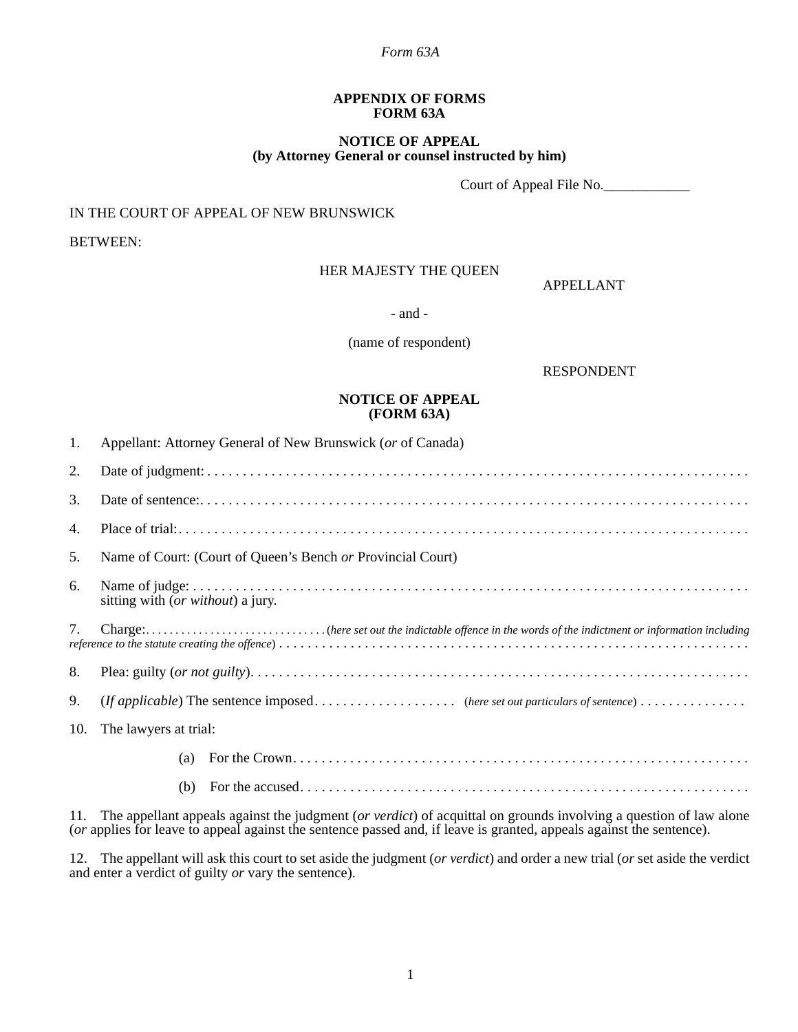### *Form 63A*

#### **APPENDIX OF FORMS FORM 63A**

### **NOTICE OF APPEAL (by Attorney General or counsel instructed by him)**

Court of Appeal File No.

## IN THE COURT OF APPEAL OF NEW BRUNSWICK

BETWEEN:

### HER MAJESTY THE QUEEN

APPELLANT

- and -

(name of respondent)

RESPONDENT

### **NOTICE OF APPEAL (FORM 63A)**

| 1.  | Appellant: Attorney General of New Brunswick (or of Canada) |
|-----|-------------------------------------------------------------|
| 2.  |                                                             |
| 3.  |                                                             |
| 4.  |                                                             |
| 5.  | Name of Court: (Court of Queen's Bench or Provincial Court) |
| 6.  | sitting with ( <i>or without</i> ) a jury.                  |
| 7.  |                                                             |
| 8.  |                                                             |
| 9.  |                                                             |
| 10. | The lawyers at trial:                                       |
|     | (a)                                                         |
|     | (b)                                                         |

11. The appellant appeals against the judgment (*or verdict*) of acquittal on grounds involving a question of law alone (*or* applies for leave to appeal against the sentence passed and, if leave is granted, appeals against the sentence).

12. The appellant will ask this court to set aside the judgment (*or verdict*) and order a new trial (*or* set aside the verdict and enter a verdict of guilty *or* vary the sentence).